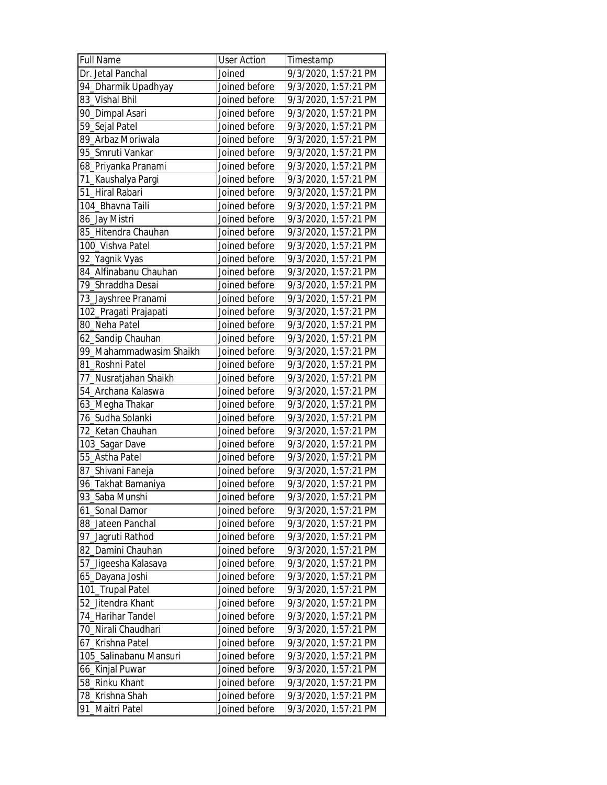| <b>Full Name</b>        | <b>User Action</b> | Timestamp            |
|-------------------------|--------------------|----------------------|
| Dr. Jetal Panchal       | Joined             | 9/3/2020, 1:57:21 PM |
| 94_Dharmik Upadhyay     | Joined before      | 9/3/2020, 1:57:21 PM |
| 83_Vishal Bhil          | Joined before      | 9/3/2020, 1:57:21 PM |
| 90_Dimpal Asari         | Joined before      | 9/3/2020, 1:57:21 PM |
| 59_Sejal Patel          | Joined before      | 9/3/2020, 1:57:21 PM |
| 89_Arbaz Moriwala       | Joined before      | 9/3/2020, 1:57:21 PM |
| 95_Smruti Vankar        | Joined before      | 9/3/2020, 1:57:21 PM |
| 68_Priyanka Pranami     | Joined before      | 9/3/2020, 1:57:21 PM |
| 71_Kaushalya Pargi      | Joined before      | 9/3/2020, 1:57:21 PM |
| 51_Hiral Rabari         | Joined before      | 9/3/2020, 1:57:21 PM |
| 104_Bhavna Taili        | Joined before      | 9/3/2020, 1:57:21 PM |
| 86_Jay Mistri           | Joined before      | 9/3/2020, 1:57:21 PM |
| 85_Hitendra Chauhan     | Joined before      | 9/3/2020, 1:57:21 PM |
| 100_Vishva Patel        | Joined before      | 9/3/2020, 1:57:21 PM |
| 92_Yagnik Vyas          | Joined before      | 9/3/2020, 1:57:21 PM |
| 84_Alfinabanu Chauhan   | Joined before      | 9/3/2020, 1:57:21 PM |
| 79_Shraddha Desai       | Joined before      | 9/3/2020, 1:57:21 PM |
| 73_Jayshree Pranami     | Joined before      | 9/3/2020, 1:57:21 PM |
| 102_Pragati Prajapati   | Joined before      | 9/3/2020, 1:57:21 PM |
| 80_Neha Patel           | Joined before      | 9/3/2020, 1:57:21 PM |
| 62_Sandip Chauhan       | Joined before      | 9/3/2020, 1:57:21 PM |
| 99_Mahammadwasim Shaikh | Joined before      | 9/3/2020, 1:57:21 PM |
| 81_Roshni Patel         | Joined before      | 9/3/2020, 1:57:21 PM |
| 77_Nusratjahan Shaikh   | Joined before      | 9/3/2020, 1:57:21 PM |
| 54 Archana Kalaswa      | Joined before      | 9/3/2020, 1:57:21 PM |
| 63_Megha Thakar         | Joined before      | 9/3/2020, 1:57:21 PM |
| 76_Sudha Solanki        | Joined before      | 9/3/2020, 1:57:21 PM |
| 72_Ketan Chauhan        | Joined before      | 9/3/2020, 1:57:21 PM |
| 103_Sagar Dave          | Joined before      | 9/3/2020, 1:57:21 PM |
| 55_Astha Patel          | Joined before      | 9/3/2020, 1:57:21 PM |
| 87_Shivani Faneja       | Joined before      | 9/3/2020, 1:57:21 PM |
| 96_Takhat Bamaniya      | Joined before      | 9/3/2020, 1:57:21 PM |
| 93_Saba Munshi          | Joined before      | 9/3/2020, 1:57:21 PM |
| 61 Sonal Damor          | Joined before      | 9/3/2020, 1:57:21 PM |
| 88_Jateen Panchal       | Joined before      | 9/3/2020, 1:57:21 PM |
| 97_Jagruti Rathod       | Joined before      | 9/3/2020, 1:57:21 PM |
| 82_Damini Chauhan       | Joined before      | 9/3/2020, 1:57:21 PM |
| 57_Jigeesha Kalasava    | Joined before      | 9/3/2020, 1:57:21 PM |
| 65_Dayana Joshi         | Joined before      | 9/3/2020, 1:57:21 PM |
| 101_Trupal Patel        | Joined before      | 9/3/2020, 1:57:21 PM |
| 52_Jitendra Khant       | Joined before      | 9/3/2020, 1:57:21 PM |
| 74_Harihar Tandel       | Joined before      | 9/3/2020, 1:57:21 PM |
| 70_Nirali Chaudhari     | Joined before      | 9/3/2020, 1:57:21 PM |
| 67_Krishna Patel        | Joined before      | 9/3/2020, 1:57:21 PM |
| 105_Salinabanu Mansuri  | Joined before      | 9/3/2020, 1:57:21 PM |
| 66_Kinjal Puwar         | Joined before      | 9/3/2020, 1:57:21 PM |
| 58_Rinku Khant          | Joined before      | 9/3/2020, 1:57:21 PM |
| 78_Krishna Shah         | Joined before      | 9/3/2020, 1:57:21 PM |
| 91_Maitri Patel         | Joined before      | 9/3/2020, 1:57:21 PM |